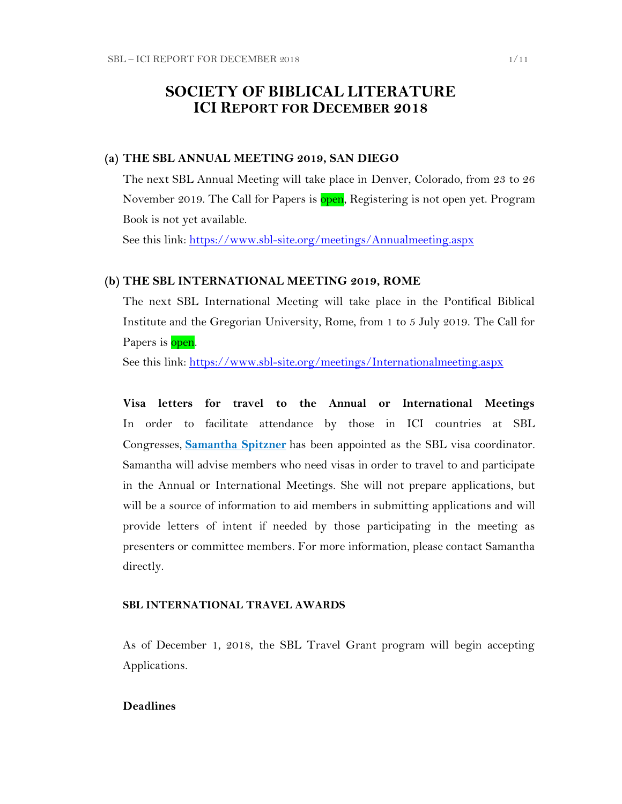# **SOCIETY OF BIBLICAL LITERATURE ICI REPORT FOR DECEMBER 2018**

## **(a) THE SBL ANNUAL MEETING 2019, SAN DIEGO**

The next SBL Annual Meeting will take place in Denver, Colorado, from 23 to 26 November 2019. The Call for Papers is open, Registering is not open yet. Program Book is not yet available.

See this link:<https://www.sbl-site.org/meetings/Annualmeeting.aspx>

### **(b) THE SBL INTERNATIONAL MEETING 2019, ROME**

The next SBL International Meeting will take place in the Pontifical Biblical Institute and the Gregorian University, Rome, from 1 to 5 July 2019. The Call for Papers is open.

See this link:<https://www.sbl-site.org/meetings/Internationalmeeting.aspx>

**Visa letters for travel to the Annual or International Meetings** In order to facilitate attendance by those in ICI countries at SBL Congresses, **[Samantha Spitzner](mailto:samantha.spitzner@sbl-site.org)** has been appointed as the SBL visa coordinator. Samantha will advise members who need visas in order to travel to and participate in the Annual or International Meetings. She will not prepare applications, but will be a source of information to aid members in submitting applications and will provide letters of intent if needed by those participating in the meeting as presenters or committee members. For more information, please contact Samantha directly.

#### **SBL INTERNATIONAL TRAVEL AWARDS**

As of December 1, 2018, the SBL Travel Grant program will begin accepting Applications.

## **Deadlines**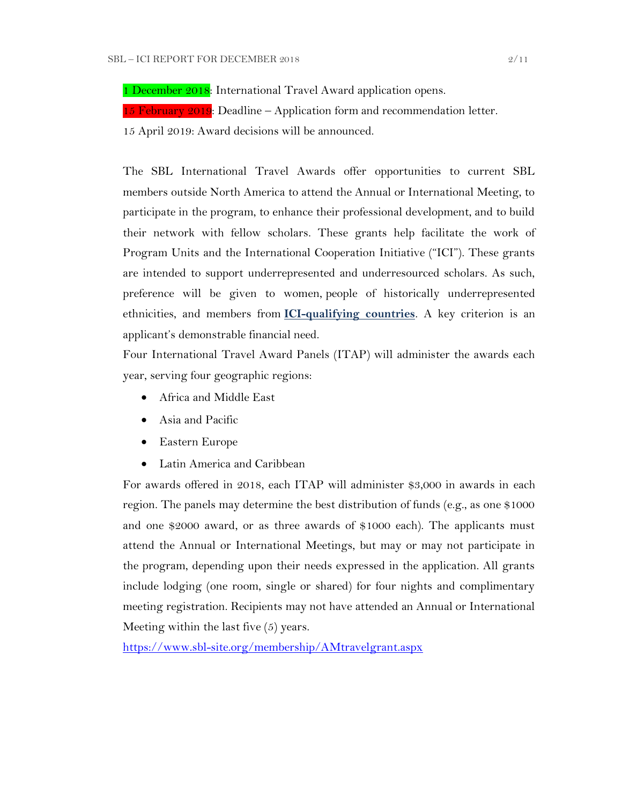1 December 2018: International Travel Award application opens.

15 February  $2019$ : Deadline – Application form and recommendation letter.

15 April 2019: Award decisions will be announced.

The SBL International Travel Awards offer opportunities to current SBL members outside North America to attend the Annual or International Meeting, to participate in the program, to enhance their professional development, and to build their network with fellow scholars. These grants help facilitate the work of Program Units and the International Cooperation Initiative ("ICI"). These grants are intended to support underrepresented and underresourced scholars. As such, preference will be given to women, people of historically underrepresented ethnicities, and members from **[ICI-qualifying countries](https://www.sbl-site.org/assets/pdfs/ICIcountries.pdf)**. A key criterion is an applicant's demonstrable financial need.

Four International Travel Award Panels (ITAP) will administer the awards each year, serving four geographic regions:

- Africa and Middle East
- Asia and Pacific
- Eastern Europe
- Latin America and Caribbean

For awards offered in 2018, each ITAP will administer \$3,000 in awards in each region. The panels may determine the best distribution of funds (e.g., as one \$1000 and one \$2000 award, or as three awards of \$1000 each). The applicants must attend the Annual or International Meetings, but may or may not participate in the program, depending upon their needs expressed in the application. All grants include lodging (one room, single or shared) for four nights and complimentary meeting registration. Recipients may not have attended an Annual or International Meeting within the last five (5) years.

<https://www.sbl-site.org/membership/AMtravelgrant.aspx>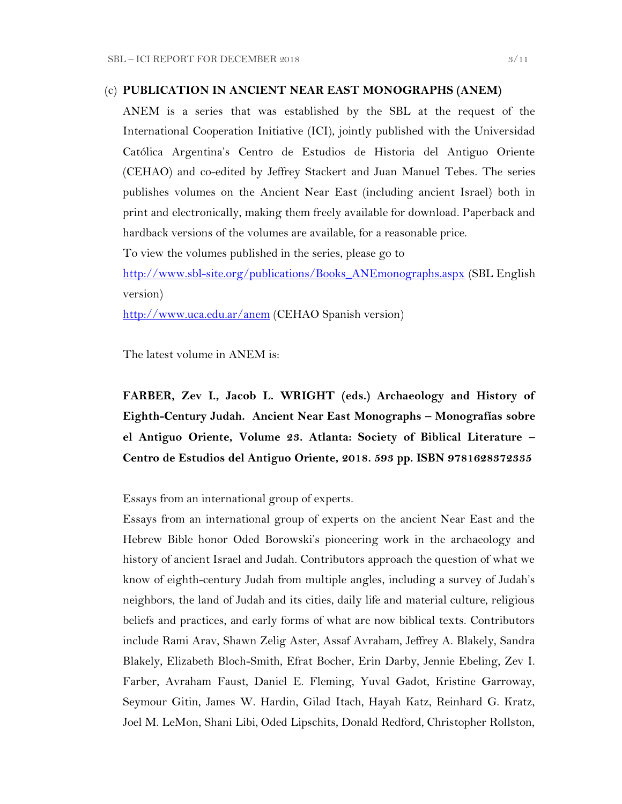# (c) **PUBLICATION IN [ANCIENT NEAR EAST MONOGRAPHS](http://www.sbl-site.org/publications/Books_ANEmonographs.aspx) (ANEM)**

ANEM is a series that was established by the SBL at the request of the International Cooperation Initiative (ICI), jointly published with the Universidad Católica Argentina's Centro de Estudios de Historia del Antiguo Oriente (CEHAO) and co-edited by Jeffrey Stackert and Juan Manuel Tebes. The series publishes volumes on the Ancient Near East (including ancient Israel) both in print and electronically, making them freely available for download. Paperback and hardback versions of the volumes are available, for a reasonable price.

To view the volumes published in the series, please go to

[http://www.sbl-site.org/publications/Books\\_ANEmonographs.aspx](http://www.sbl-site.org/publications/Books_ANEmonographs.aspx) (SBL English version)

<http://www.uca.edu.ar/anem> (CEHAO Spanish version)

The latest volume in ANEM is:

**FARBER, Zev I., Jacob L. WRIGHT (eds.) Archaeology and History of Eighth-Century Judah. Ancient Near East Monographs – Monografías sobre el Antiguo Oriente, Volume 23. Atlanta: Society of Biblical Literature – Centro de Estudios del Antiguo Oriente, 2018. 593 pp. ISBN 9781628372335**

Essays from an international group of experts.

Essays from an international group of experts on the ancient Near East and the Hebrew Bible honor Oded Borowski's pioneering work in the archaeology and history of ancient Israel and Judah. Contributors approach the question of what we know of eighth-century Judah from multiple angles, including a survey of Judah's neighbors, the land of Judah and its cities, daily life and material culture, religious beliefs and practices, and early forms of what are now biblical texts. Contributors include Rami Arav, Shawn Zelig Aster, Assaf Avraham, Jeffrey A. Blakely, Sandra Blakely, Elizabeth Bloch-Smith, Efrat Bocher, Erin Darby, Jennie Ebeling, Zev I. Farber, Avraham Faust, Daniel E. Fleming, Yuval Gadot, Kristine Garroway, Seymour Gitin, James W. Hardin, Gilad Itach, Hayah Katz, Reinhard G. Kratz, Joel M. LeMon, Shani Libi, Oded Lipschits, Donald Redford, Christopher Rollston,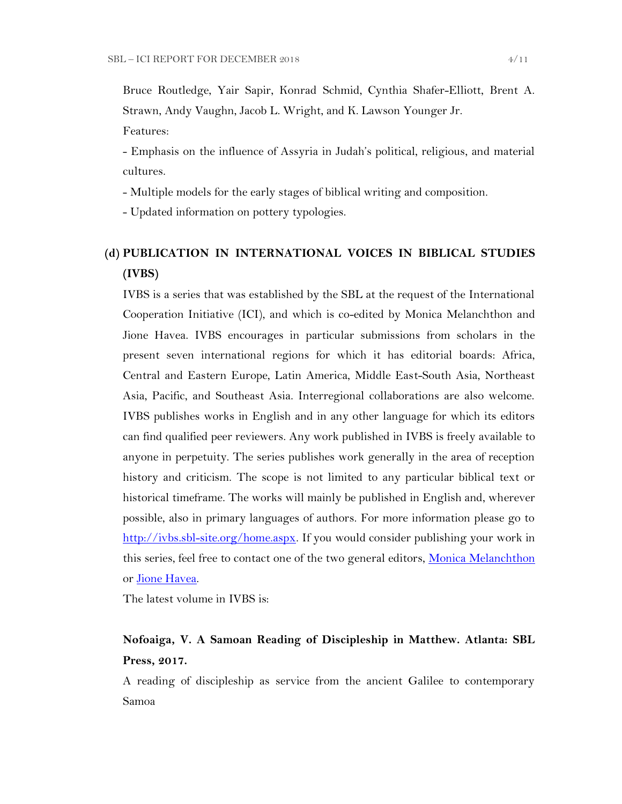Bruce Routledge, Yair Sapir, Konrad Schmid, Cynthia Shafer-Elliott, Brent A. Strawn, Andy Vaughn, Jacob L. Wright, and K. Lawson Younger Jr.

Features:

- Emphasis on the influence of Assyria in Judah's political, religious, and material cultures.

- Multiple models for the early stages of biblical writing and composition.

- Updated information on pottery typologies.

# **(d) PUBLICATION IN INTERNATIONAL VOICES IN BIBLICAL STUDIES (IVBS)**

IVBS is a series that was established by the SBL at the request of the International Cooperation Initiative (ICI), and which is co-edited by Monica Melanchthon and Jione Havea. IVBS encourages in particular submissions from scholars in the present seven international regions for which it has editorial boards: Africa, Central and Eastern Europe, Latin America, Middle East-South Asia, Northeast Asia, Pacific, and Southeast Asia. Interregional collaborations are also welcome. IVBS publishes works in English and in any other language for which its editors can find qualified peer reviewers. Any work published in IVBS is freely available to anyone in perpetuity. The series publishes work generally in the area of reception history and criticism. The scope is not limited to any particular biblical text or historical timeframe. The works will mainly be published in English and, wherever possible, also in primary languages of authors. For more information please go to [http://ivbs.sbl-site.org/home.aspx.](http://ivbs.sbl-site.org/home.aspx) If you would consider publishing your work in this series, feel free to contact one of the two general editors, [Monica Melanchthon](mailto:ivbs2010@gmail.com) or [Jione Havea.](mailto:jioneh@nsw.uca.org.au)

The latest volume in IVBS is:

# **Nofoaiga, V. A Samoan Reading of Discipleship in Matthew. Atlanta: SBL Press, 2017.**

A reading of discipleship as service from the ancient Galilee to contemporary Samoa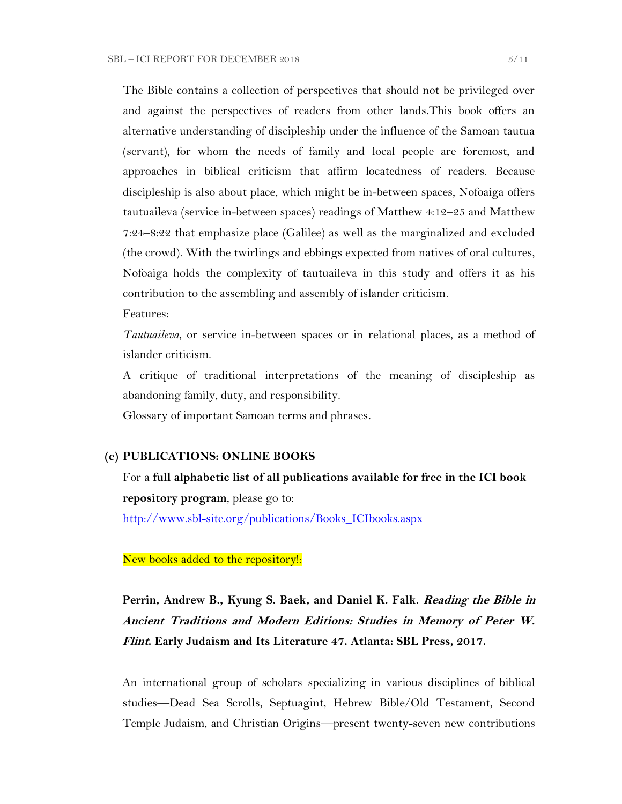The Bible contains a collection of perspectives that should not be privileged over and against the perspectives of readers from other lands.This book offers an alternative understanding of discipleship under the influence of the Samoan tautua (servant), for whom the needs of family and local people are foremost, and approaches in biblical criticism that affirm locatedness of readers. Because discipleship is also about place, which might be in-between spaces, Nofoaiga offers tautuaileva (service in-between spaces) readings of Matthew 4:12–25 and Matthew 7:24–8:22 that emphasize place (Galilee) as well as the marginalized and excluded (the crowd). With the twirlings and ebbings expected from natives of oral cultures, Nofoaiga holds the complexity of tautuaileva in this study and offers it as his contribution to the assembling and assembly of islander criticism.

Features:

*Tautuaileva*, or service in-between spaces or in relational places, as a method of islander criticism.

A critique of traditional interpretations of the meaning of discipleship as abandoning family, duty, and responsibility.

Glossary of important Samoan terms and phrases.

### **(e) PUBLICATIONS: ONLINE BOOKS**

For a **full alphabetic list of all publications available for free in the ICI book repository program**, please go to:

[http://www.sbl-site.org/publications/Books\\_ICIbooks.aspx](http://www.sbl-site.org/publications/Books_ICIbooks.aspx)

New books added to the repository!:

**Perrin, Andrew B., Kyung S. Baek, and Daniel K. Falk. Reading the Bible in Ancient Traditions and Modern Editions: Studies in Memory of Peter W. Flint. Early Judaism and Its Literature 47. Atlanta: SBL Press, 2017.**

An international group of scholars specializing in various disciplines of biblical studies—Dead Sea Scrolls, Septuagint, Hebrew Bible/Old Testament, Second Temple Judaism, and Christian Origins—present twenty-seven new contributions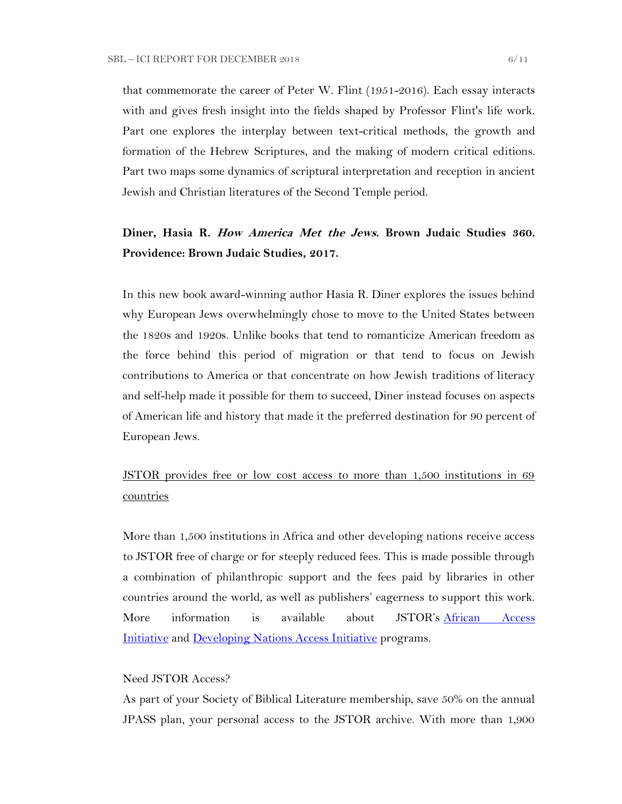that commemorate the career of Peter W. Flint (1951-2016). Each essay interacts with and gives fresh insight into the fields shaped by Professor Flint's life work. Part one explores the interplay between text-critical methods, the growth and formation of the Hebrew Scriptures, and the making of modern critical editions. Part two maps some dynamics of scriptural interpretation and reception in ancient Jewish and Christian literatures of the Second Temple period.

# **Diner, Hasia R. How America Met the Jews. Brown Judaic Studies 360. Providence: Brown Judaic Studies, 2017.**

In this new book award-winning author Hasia R. Diner explores the issues behind why European Jews overwhelmingly chose to move to the United States between the 1820s and 1920s. Unlike books that tend to romanticize American freedom as the force behind this period of migration or that tend to focus on Jewish contributions to America or that concentrate on how Jewish traditions of literacy and self-help made it possible for them to succeed, Diner instead focuses on aspects of American life and history that made it the preferred destination for 90 percent of European Jews.

JSTOR provides free or low cost access to more than 1,500 institutions in 69 **countries** 

More than 1,500 institutions in Africa and other developing nations receive access to JSTOR free of charge or for steeply reduced fees. This is made possible through a combination of philanthropic support and the fees paid by libraries in other countries around the world, as well as publishers' eagerness to support this work. More information is available about JSTOR's [African Access](http://about.jstor.org/libraries/african-access-initiative)  [Initiative](http://about.jstor.org/libraries/african-access-initiative) and [Developing Nations Access Initiative](http://about.jstor.org/libraries/developing-nations-access-initiative) programs.

#### Need JSTOR Access?

As part of your Society of Biblical Literature membership, save 50% on the annual JPASS plan, your personal access to the JSTOR archive. With more than 1,900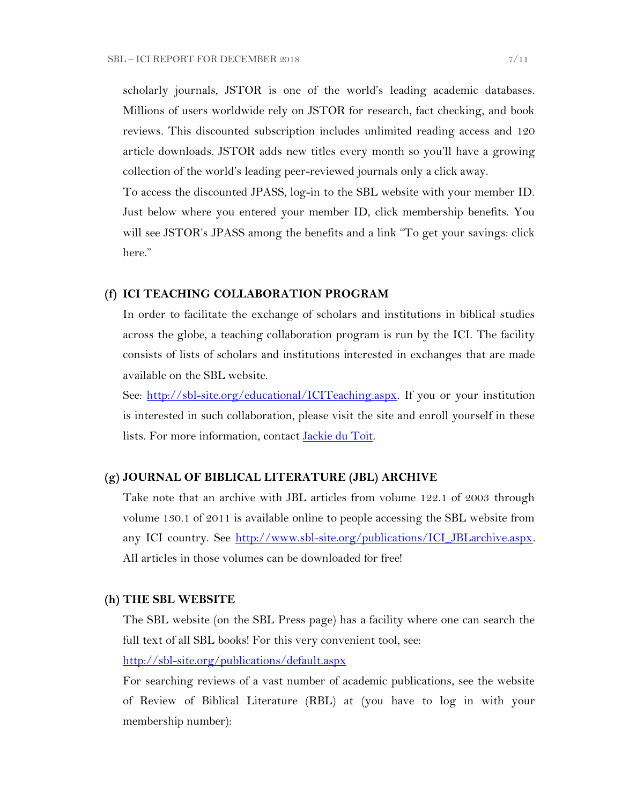scholarly journals, JSTOR is one of the world's leading academic databases. Millions of users worldwide rely on JSTOR for research, fact checking, and book reviews. This discounted subscription includes unlimited reading access and 120 article downloads. JSTOR adds new titles every month so you'll have a growing collection of the world's leading peer-reviewed journals only a click away.

To access the discounted JPASS, log-in to the SBL website with your member ID. Just below where you entered your member ID, click membership benefits. You will see JSTOR's JPASS among the benefits and a link "To get your savings: click here."

### **(f) ICI TEACHING COLLABORATION PROGRAM**

In order to facilitate the exchange of scholars and institutions in biblical studies across the globe, a teaching collaboration program is run by the ICI. The facility consists of lists of scholars and institutions interested in exchanges that are made available on the SBL website.

See: [http://sbl-site.org/educational/ICITeaching.aspx.](http://sbl-site.org/educational/ICITeaching.aspx) If you or your institution is interested in such collaboration, please visit the site and enroll yourself in these lists. For more information, contact [Jackie du Toit.](mailto:dutoitjs@ufs.ac.za)

## **(g) JOURNAL OF BIBLICAL LITERATURE (JBL) ARCHIVE**

Take note that an archive with JBL articles from volume 122.1 of 2003 through volume 130.1 of 2011 is available online to people accessing the SBL website from any ICI country. See http://www.sbl-site.org/publications/ICI\_JBLarchive.aspx. All articles in those volumes can be downloaded for free!

### **(h) THE SBL WEBSITE**

The SBL website (on the SBL Press page) has a facility where one can search the full text of all SBL books! For this very convenient tool, see:

<http://sbl-site.org/publications/default.aspx>

For searching reviews of a vast number of academic publications, see the website of Review of Biblical Literature (RBL) at (you have to log in with your membership number):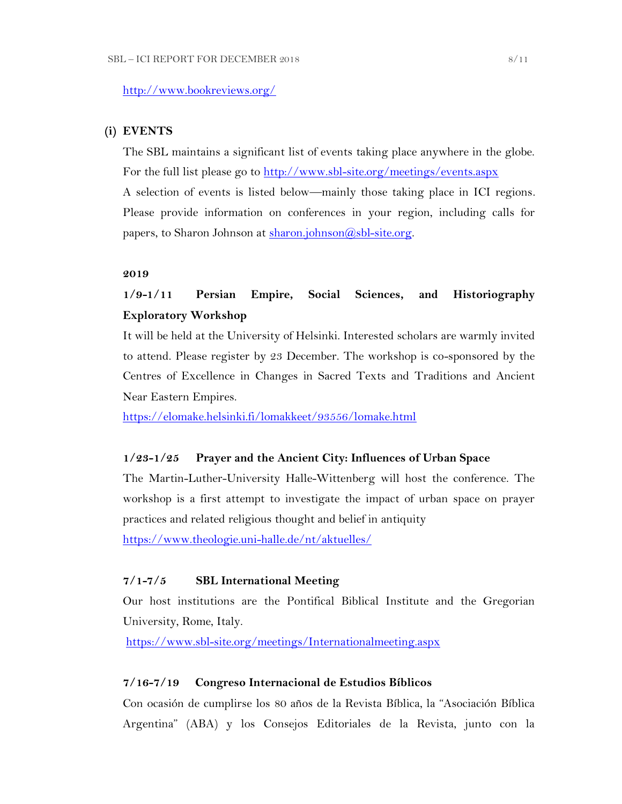# **(i) EVENTS**

The SBL maintains a significant list of events taking place anywhere in the globe. For the full list please go to<http://www.sbl-site.org/meetings/events.aspx> A selection of events is listed below—mainly those taking place in ICI regions. Please provide information on conferences in your region, including calls for papers, to Sharon Johnson at  $\frac{\text{sharon.}(\partial s\text{bl-site.} \text{or} \text{g.})}{\text{sh.}(\partial s\text{bl-site.} \text{or} \text{g.})}$ 

## **2019**

# **1/9-1/11 Persian Empire, Social Sciences, and Historiography Exploratory Workshop**

It will be held at the University of Helsinki. Interested scholars are warmly invited to attend. Please register by 23 December. The workshop is co-sponsored by the Centres of Excellence in Changes in Sacred Texts and Traditions and Ancient Near Eastern Empires.

<https://elomake.helsinki.fi/lomakkeet/93556/lomake.html>

## **1/23-1/25 Prayer and the Ancient City: Influences of Urban Space**

The Martin-Luther-University Halle-Wittenberg will host the conference. The workshop is a first attempt to investigate the impact of urban space on prayer practices and related religious thought and belief in antiquity <https://www.theologie.uni-halle.de/nt/aktuelles/>

# **7/1-7/5 SBL International Meeting**

Our host institutions are the Pontifical Biblical Institute and the Gregorian University, Rome, Italy.

<https://www.sbl-site.org/meetings/Internationalmeeting.aspx>

## **7/16-7/19 Congreso Internacional de Estudios Bíblicos**

Con ocasión de cumplirse los 80 años de la Revista Bíblica, la "Asociación Bíblica Argentina" (ABA) y los Consejos Editoriales de la Revista, junto con la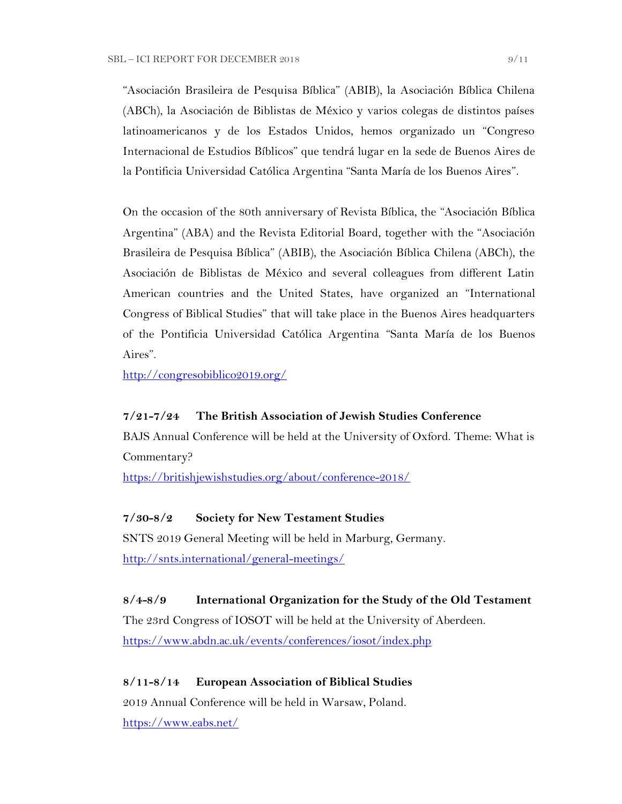"Asociación Brasileira de Pesquisa Bíblica" (ABIB), la Asociación Bíblica Chilena (ABCh), la Asociación de Biblistas de México y varios colegas de distintos países latinoamericanos y de los Estados Unidos, hemos organizado un "Congreso Internacional de Estudios Bíblicos" que tendrá lugar en la sede de Buenos Aires de la Pontificia Universidad Católica Argentina "Santa María de los Buenos Aires".

On the occasion of the 80th anniversary of Revista Bíblica, the "Asociación Bíblica Argentina" (ABA) and the Revista Editorial Board, together with the "Asociación Brasileira de Pesquisa Bíblica" (ABIB), the Asociación Bíblica Chilena (ABCh), the Asociación de Biblistas de México and several colleagues from different Latin American countries and the United States, have organized an "International Congress of Biblical Studies" that will take place in the Buenos Aires headquarters of the Pontificia Universidad Católica Argentina "Santa María de los Buenos Aires".

<http://congresobiblico2019.org/>

# **7/21-7/24 The British Association of Jewish Studies Conference**

BAJS Annual Conference will be held at the University of Oxford. Theme: What is Commentary?

<https://britishjewishstudies.org/about/conference-2018/>

### **7/30-8/2 Society for New Testament Studies**

SNTS 2019 General Meeting will be held in Marburg, Germany. <http://snts.international/general-meetings/>

## **8/4-8/9 International Organization for the Study of the Old Testament**

The 23rd Congress of IOSOT will be held at the University of Aberdeen. <https://www.abdn.ac.uk/events/conferences/iosot/index.php>

### **8/11-8/14 European Association of Biblical Studies**

2019 Annual Conference will be held in Warsaw, Poland. <https://www.eabs.net/>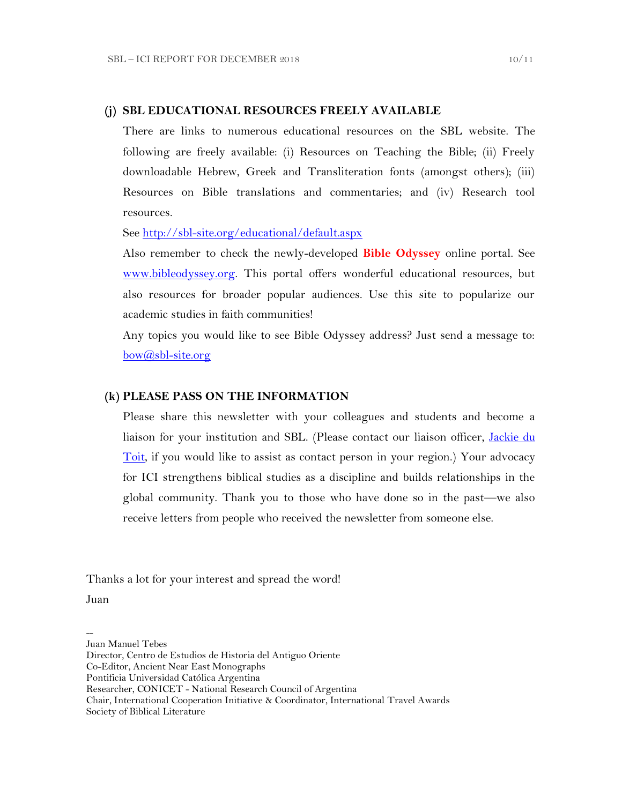### **(j) SBL EDUCATIONAL RESOURCES FREELY AVAILABLE**

There are links to numerous educational resources on the SBL website. The following are freely available: (i) Resources on Teaching the Bible; (ii) Freely downloadable Hebrew, Greek and Transliteration fonts (amongst others); (iii) Resources on Bible translations and commentaries; and (iv) Research tool resources.

See<http://sbl-site.org/educational/default.aspx>

Also remember to check the newly-developed **Bible Odyssey** online portal. See [www.bibleodyssey.org.](http://www.bibleodyssey.org/) This portal offers wonderful educational resources, but also resources for broader popular audiences. Use this site to popularize our academic studies in faith communities!

Any topics you would like to see Bible Odyssey address? Just send a message to: [bow@sbl-site.org](mailto:bow@sbl-site.org)

# **(k) PLEASE PASS ON THE INFORMATION**

Please share this newsletter with your colleagues and students and become a liaison for your institution and SBL. (Please contact our liaison officer, [Jackie du](mailto:dutoitjs@ufs.ac.za)  [Toit,](mailto:dutoitjs@ufs.ac.za) if you would like to assist as contact person in your region.) Your advocacy for ICI strengthens biblical studies as a discipline and builds relationships in the global community. Thank you to those who have done so in the past—we also receive letters from people who received the newsletter from someone else.

Thanks a lot for your interest and spread the word!

Juan

--

Juan Manuel Tebes

Director, Centro de Estudios de Historia del Antiguo Oriente

Co-Editor, Ancient Near East Monographs

Researcher, CONICET - National Research Council of Argentina

Chair, International Cooperation Initiative & Coordinator, International Travel Awards Society of Biblical Literature

Pontificia Universidad Católica Argentina